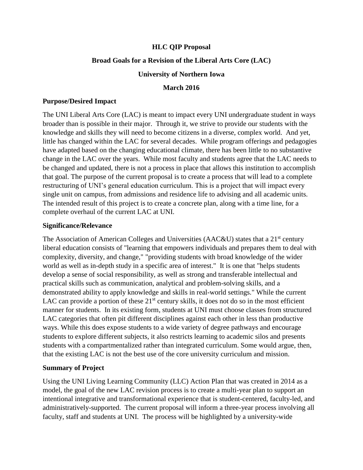# **HLC QIP Proposal**

# **Broad Goals for a Revision of the Liberal Arts Core (LAC)**

## **University of Northern Iowa**

#### **March 2016**

## **Purpose/Desired Impact**

The UNI Liberal Arts Core (LAC) is meant to impact every UNI undergraduate student in ways broader than is possible in their major. Through it, we strive to provide our students with the knowledge and skills they will need to become citizens in a diverse, complex world. And yet, little has changed within the LAC for several decades. While program offerings and pedagogies have adapted based on the changing educational climate, there has been little to no substantive change in the LAC over the years. While most faculty and students agree that the LAC needs to be changed and updated, there is not a process in place that allows this institution to accomplish that goal. The purpose of the current proposal is to create a process that will lead to a complete restructuring of UNI's general education curriculum. This is a project that will impact every single unit on campus, from admissions and residence life to advising and all academic units. The intended result of this project is to create a concrete plan, along with a time line, for a complete overhaul of the current LAC at UNI.

#### **Significance/Relevance**

The Association of American Colleges and Universities (AAC&U) states that a 21<sup>st</sup> century liberal education consists of "learning that empowers individuals and prepares them to deal with complexity, diversity, and change," "providing students with broad knowledge of the wider world as well as in-depth study in a specific area of interest." It is one that "helps students develop a sense of social responsibility, as well as strong and transferable intellectual and practical skills such as communication, analytical and problem-solving skills, and a demonstrated ability to apply knowledge and skills in real-world settings." While the current LAC can provide a portion of these  $21<sup>st</sup>$  century skills, it does not do so in the most efficient manner for students. In its existing form, students at UNI must choose classes from structured LAC categories that often pit different disciplines against each other in less than productive ways. While this does expose students to a wide variety of degree pathways and encourage students to explore different subjects, it also restricts learning to academic silos and presents students with a compartmentalized rather than integrated curriculum. Some would argue, then, that the existing LAC is not the best use of the core university curriculum and mission.

# **Summary of Project**

Using the UNI Living Learning Community (LLC) Action Plan that was created in 2014 as a model, the goal of the new LAC revision process is to create a multi-year plan to support an intentional integrative and transformational experience that is student-centered, faculty-led, and administratively-supported. The current proposal will inform a three-year process involving all faculty, staff and students at UNI. The process will be highlighted by a university-wide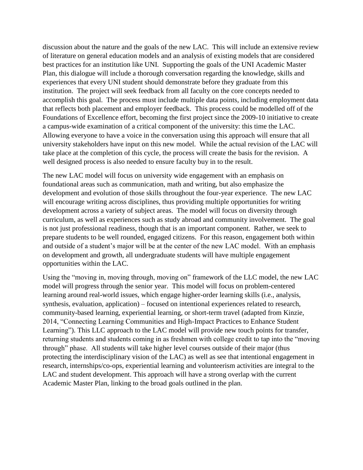discussion about the nature and the goals of the new LAC. This will include an extensive review of literature on general education models and an analysis of existing models that are considered best practices for an institution like UNI. Supporting the goals of the UNI Academic Master Plan, this dialogue will include a thorough conversation regarding the knowledge, skills and experiences that every UNI student should demonstrate before they graduate from this institution. The project will seek feedback from all faculty on the core concepts needed to accomplish this goal. The process must include multiple data points, including employment data that reflects both placement and employer feedback. This process could be modelled off of the Foundations of Excellence effort, becoming the first project since the 2009-10 initiative to create a campus-wide examination of a critical component of the university: this time the LAC. Allowing everyone to have a voice in the conversation using this approach will ensure that all university stakeholders have input on this new model. While the actual revision of the LAC will take place at the completion of this cycle, the process will create the basis for the revision. A well designed process is also needed to ensure faculty buy in to the result.

The new LAC model will focus on university wide engagement with an emphasis on foundational areas such as communication, math and writing, but also emphasize the development and evolution of those skills throughout the four-year experience. The new LAC will encourage writing across disciplines, thus providing multiple opportunities for writing development across a variety of subject areas. The model will focus on diversity through curriculum, as well as experiences such as study abroad and community involvement. The goal is not just professional readiness, though that is an important component. Rather, we seek to prepare students to be well rounded, engaged citizens. For this reason, engagement both within and outside of a student's major will be at the center of the new LAC model. With an emphasis on development and growth, all undergraduate students will have multiple engagement opportunities within the LAC.

Using the "moving in, moving through, moving on" framework of the LLC model, the new LAC model will progress through the senior year. This model will focus on problem-centered learning around real-world issues, which engage higher-order learning skills (i.e., analysis, synthesis, evaluation, application) – focused on intentional experiences related to research, community-based learning, experiential learning, or short-term travel (adapted from Kinzie, 2014, "Connecting Learning Communities and High-Impact Practices to Enhance Student Learning"). This LLC approach to the LAC model will provide new touch points for transfer, returning students and students coming in as freshmen with college credit to tap into the "moving through" phase. All students will take higher level courses outside of their major (thus protecting the interdisciplinary vision of the LAC) as well as see that intentional engagement in research, internships/co-ops, experiential learning and volunteerism activities are integral to the LAC and student development. This approach will have a strong overlap with the current Academic Master Plan, linking to the broad goals outlined in the plan.